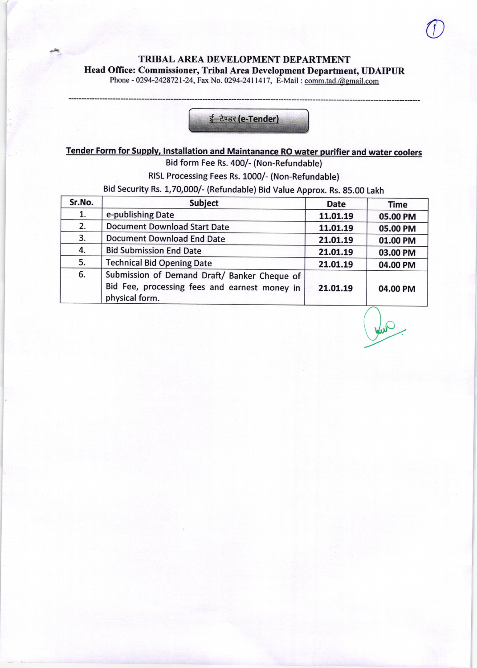## TRIBAL AREA DEVELOPMENT DEPARTMENT Head Office: Commissioner, Tribal Area Development Department, UDAIPUR Phone - 0294-2428721-24, Fax No. 0294-2411417, E-Mail : comm.tad. @gmail.com



## Tender Form for Supplv. lnstallation and Maintanance RO water purifier and water coolers Bid form Fee Rs. 400/- (Non-Refundable)

RISL Processing Fees Rs. 1000/- (Non-Refundable)

Bid security Rs. 1,70,000/- (Refundable) Bid Value Approx. Rs. 85.00 Lakh

| Sr.No. | <b>Subject</b>                                                                                                  | <b>Date</b> | <b>Time</b> |
|--------|-----------------------------------------------------------------------------------------------------------------|-------------|-------------|
| 1.     | e-publishing Date                                                                                               | 11.01.19    | 05.00 PM    |
| 2.     | <b>Document Download Start Date</b>                                                                             | 11.01.19    | 05.00 PM    |
| 3.     | <b>Document Download End Date</b>                                                                               | 21.01.19    | 01.00 PM    |
| 4.     | <b>Bid Submission End Date</b>                                                                                  | 21.01.19    | 03.00 PM    |
| 5.     | <b>Technical Bid Opening Date</b>                                                                               | 21.01.19    | 04.00 PM    |
| 6.     | Submission of Demand Draft/ Banker Cheque of<br>Bid Fee, processing fees and earnest money in<br>physical form. | 21.01.19    | 04.00 PM    |

 $\bigcup$ 

 $\backslash$